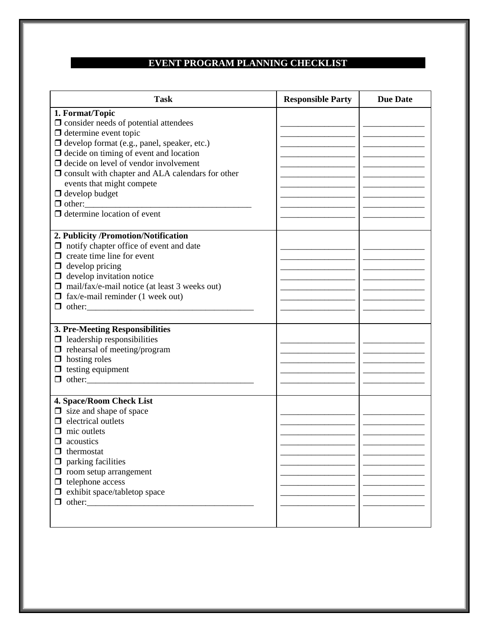## **EVENT PROGRAM PLANNING CHECKLIST**

| <b>Task</b>                                                                                                                                                                                                                                                                                                                                                                                                                    | <b>Responsible Party</b> | <b>Due Date</b> |
|--------------------------------------------------------------------------------------------------------------------------------------------------------------------------------------------------------------------------------------------------------------------------------------------------------------------------------------------------------------------------------------------------------------------------------|--------------------------|-----------------|
| 1. Format/Topic<br>$\Box$ consider needs of potential attendees<br>$\Box$ determine event topic<br>$\Box$ develop format (e.g., panel, speaker, etc.)<br>$\Box$ decide on timing of event and location<br>$\Box$ decide on level of vendor involvement<br>$\Box$ consult with chapter and ALA calendars for other<br>events that might compete<br>$\Box$ develop budget<br>$\Box$ other:<br>$\Box$ determine location of event |                          |                 |
| 2. Publicity /Promotion/Notification<br>$\Box$ notify chapter office of event and date<br>$\Box$ create time line for event<br>$\Box$ develop pricing<br>$\Box$ develop invitation notice<br>$\Box$ mail/fax/e-mail notice (at least 3 weeks out)<br>$\Box$ fax/e-mail reminder (1 week out)                                                                                                                                   |                          |                 |
| 3. Pre-Meeting Responsibilities<br>$\Box$ leadership responsibilities<br>$\Box$ rehearsal of meeting/program<br>$\Box$ hosting roles<br>$\Box$ testing equipment                                                                                                                                                                                                                                                               |                          |                 |
| 4. Space/Room Check List<br>$\Box$ size and shape of space<br>$\Box$ electrical outlets<br>$\Box$ mic outlets<br>$\Box$ acoustics<br>$\Box$ thermostat<br>$\Box$ parking facilities<br>$\Box$ room setup arrangement<br>$\Box$ telephone access<br>$\Box$ exhibit space/tabletop space                                                                                                                                         |                          |                 |